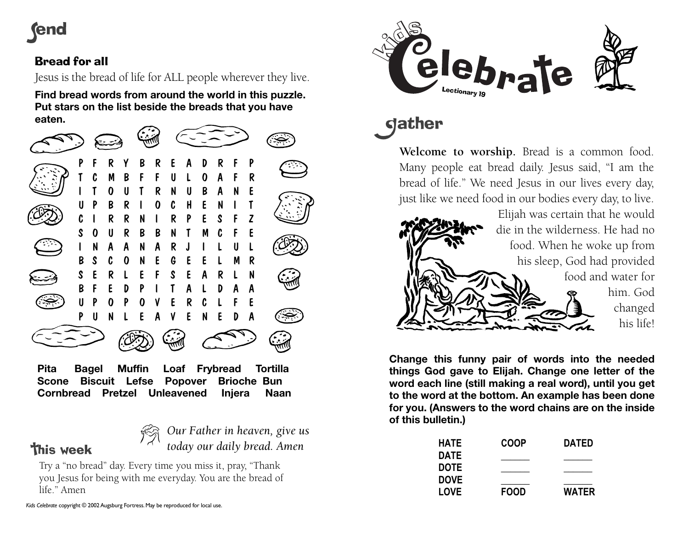# **rend**

## Bread for all

Jesus is the bread of life for ALL people wherever they live.

**Find bread words from around the world in this puzzle. Put stars on the list beside the breads that you have eaten.** 



**Pita Bagel Muffin Loaf Frybread Tortilla Scone Biscuit Lefse Popover Brioche Bun Cornbread Pretzel Unleavened Injera Naan** 

# **This week**

*Our Father in heaven, give us today our daily bread. Amen*

Try a "no bread" day. Every time you miss it, pray, "Thank you Jesus for being with me everyday. You are the bread of life." Amen



dather

**Welcome to worship.** Bread is a common food. Many people eat bread daily. Jesus said, "I am the bread of life." We need Jesus in our lives every day, just like we need food in our bodies every day, to live.



**Change this funny pair of words into the needed things God gave to Elijah. Change one letter of the word each line (still making a real word), until you get to the word at the bottom. An example has been done for you. (Answers to the word chains are on the inside of this bulletin.)** 

| <b>HATE</b><br><b>DATE</b> | <b>COOP</b> | <b>DATED</b> |
|----------------------------|-------------|--------------|
|                            |             |              |
| <b>DOVE</b>                |             |              |
| <b>LOVE</b>                | <b>FOOD</b> | <b>WATER</b> |